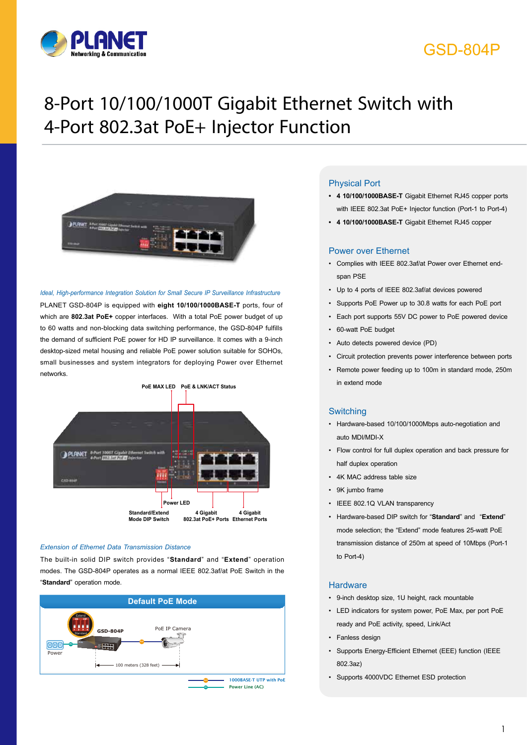

## GSD-804P

# 8-Port 10/100/1000T Gigabit Ethernet Switch with 4-Port 802.3at PoE+ Injector Function



#### *Ideal, High-performance Integration Solution for Small Secure IP Surveillance Infrastructure*

PLANET GSD-804P is equipped with **eight 10/100/1000BASE-T** ports, four of which are **802.3at PoE+** copper interfaces. With a total PoE power budget of up to 60 watts and non-blocking data switching performance, the GSD-804P fulfills the demand of sufficient PoE power for HD IP surveillance. It comes with a 9-inch desktop-sized metal housing and reliable PoE power solution suitable for SOHOs, small businesses and system integrators for deploying Power over Ethernet networks.



#### *Extension of Ethernet Data Transmission Distance*

The built-in solid DIP switch provides "**Standard**" and "**Extend**" operation modes. The GSD-804P operates as a normal IEEE 802.3af/at PoE Switch in the "**Standard**" operation mode.



#### Physical Port

- **• 4 10/100/1000BASE-T** Gigabit Ethernet RJ45 copper ports with IEEE 802.3at PoE+ Injector function (Port-1 to Port-4)
- **• 4 10/100/1000BASE-T** Gigabit Ethernet RJ45 copper

#### Power over Ethernet

- Complies with IEEE 802.3af/at Power over Ethernet endspan PSE
- Up to 4 ports of IEEE 802.3af/at devices powered
- Supports PoE Power up to 30.8 watts for each PoE port
- Each port supports 55V DC power to PoE powered device
- 60-watt PoE budget
- Auto detects powered device (PD)
- Circuit protection prevents power interference between ports
- Remote power feeding up to 100m in standard mode, 250m in extend mode

#### Switching

- Hardware-based 10/100/1000Mbps auto-negotiation and auto MDI/MDI-X
- Flow control for full duplex operation and back pressure for half duplex operation
- 4K MAC address table size
- 9K jumbo frame
- IEEE 802.1Q VLAN transparency
- Hardware-based DIP switch for "**Standard**" and "**Extend**" mode selection; the "Extend" mode features 25-watt PoE transmission distance of 250m at speed of 10Mbps (Port-1 to Port-4)

#### **Hardware**

- 9-inch desktop size, 1U height, rack mountable
- LED indicators for system power, PoE Max, per port PoE ready and PoE activity, speed, Link/Act
- Fanless design
- Supports Energy-Efficient Ethernet (EEE) function (IEEE 802.3az)
- Supports 4000VDC Ethernet ESD protection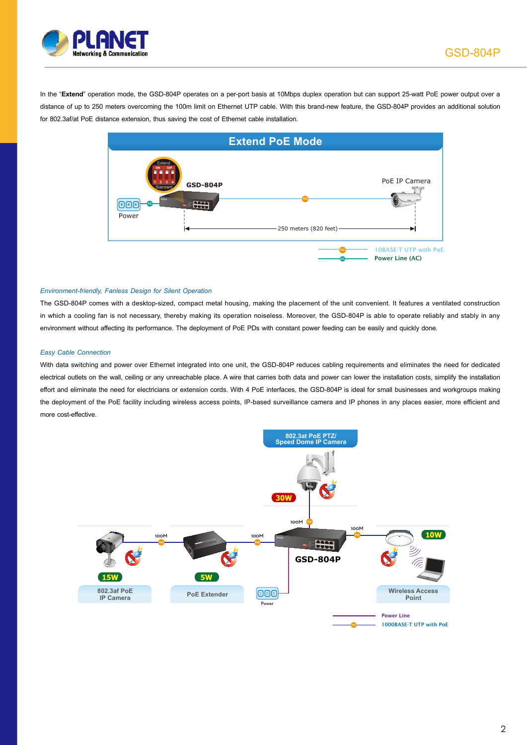

In the "**Extend**" operation mode, the GSD-804P operates on a per-port basis at 10Mbps duplex operation but can support 25-watt PoE power output over a distance of up to 250 meters overcoming the 100m limit on Ethernet UTP cable. With this brand-new feature, the GSD-804P provides an additional solution for 802.3af/at PoE distance extension, thus saving the cost of Ethernet cable installation.



#### *Environment-friendly, Fanless Design for Silent Operation*

The GSD-804P comes with a desktop-sized, compact metal housing, making the placement of the unit convenient. It features a ventilated construction in which a cooling fan is not necessary, thereby making its operation noiseless. Moreover, the GSD-804P is able to operate reliably and stably in any environment without affecting its performance. The deployment of PoE PDs with constant power feeding can be easily and quickly done.

#### *Easy Cable Connection*

With data switching and power over Ethernet integrated into one unit, the GSD-804P reduces cabling requirements and eliminates the need for dedicated electrical outlets on the wall, ceiling or any unreachable place. A wire that carries both data and power can lower the installation costs, simplify the installation effort and eliminate the need for electricians or extension cords. With 4 PoE interfaces, the GSD-804P is ideal for small businesses and workgroups making the deployment of the PoE facility including wireless access points, IP-based surveillance camera and IP phones in any places easier, more efficient and more cost-effective.

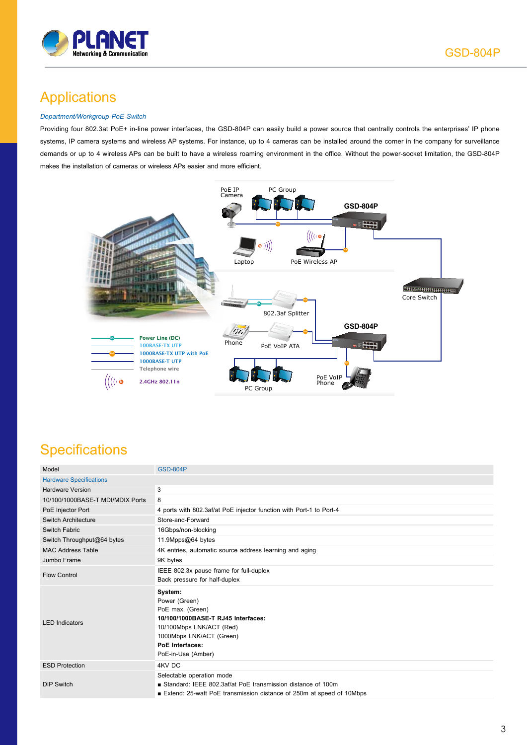

## Applications

#### *Department/Workgroup PoE Switch*

Providing four 802.3at PoE+ in-line power interfaces, the GSD-804P can easily build a power source that centrally controls the enterprises' IP phone systems, IP camera systems and wireless AP systems. For instance, up to 4 cameras can be installed around the corner in the company for surveillance demands or up to 4 wireless APs can be built to have a wireless roaming environment in the office. Without the power-socket limitation, the GSD-804P makes the installation of cameras or wireless APs easier and more efficient.



## **Specifications**

| Model                            | <b>GSD-804P</b>                                                                                                                                                                     |
|----------------------------------|-------------------------------------------------------------------------------------------------------------------------------------------------------------------------------------|
| <b>Hardware Specifications</b>   |                                                                                                                                                                                     |
| <b>Hardware Version</b>          | 3                                                                                                                                                                                   |
| 10/100/1000BASE-T MDI/MDIX Ports | 8                                                                                                                                                                                   |
| PoE Injector Port                | 4 ports with 802.3af/at PoE injector function with Port-1 to Port-4                                                                                                                 |
| Switch Architecture              | Store-and-Forward                                                                                                                                                                   |
| Switch Fabric                    | 16Gbps/non-blocking                                                                                                                                                                 |
| Switch Throughput@64 bytes       | 11.9Mpps@64 bytes                                                                                                                                                                   |
| <b>MAC Address Table</b>         | 4K entries, automatic source address learning and aging                                                                                                                             |
| Jumbo Frame                      | 9K bytes                                                                                                                                                                            |
| <b>Flow Control</b>              | IEEE 802.3x pause frame for full-duplex                                                                                                                                             |
|                                  | Back pressure for half-duplex                                                                                                                                                       |
| <b>LED</b> Indicators            | System:<br>Power (Green)<br>PoE max. (Green)<br>10/100/1000BASE-T RJ45 Interfaces:<br>10/100Mbps LNK/ACT (Red)<br>1000Mbps LNK/ACT (Green)<br>PoE Interfaces:<br>PoE-in-Use (Amber) |
| <b>ESD Protection</b>            | 4KV DC                                                                                                                                                                              |
| <b>DIP Switch</b>                | Selectable operation mode<br>Standard: IEEE 802.3af/at PoE transmission distance of 100m<br>■ Extend: 25-watt PoE transmission distance of 250m at speed of 10Mbps                  |